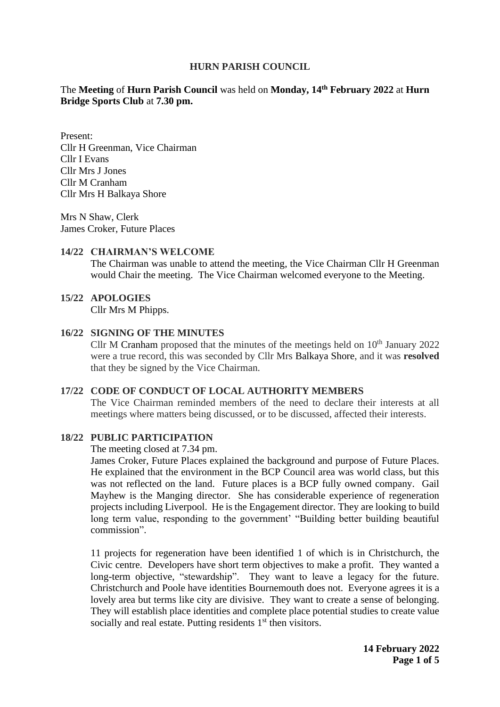#### **HURN PARISH COUNCIL**

### The Meeting of Hurn Parish Council was held on Monday,  $14<sup>th</sup>$  February 2022 at Hurn **Bridge Sports Club** at **7.30 pm.**

Present: Cllr H Greenman, Vice Chairman Cllr I Evans Cllr Mrs J Jones Cllr M Cranham Cllr Mrs H Balkaya Shore

Mrs N Shaw, Clerk James Croker, Future Places

#### **14/22 CHAIRMAN'S WELCOME**

The Chairman was unable to attend the meeting, the Vice Chairman Cllr H Greenman would Chair the meeting. The Vice Chairman welcomed everyone to the Meeting.

### **15/22 APOLOGIES**

Cllr Mrs M Phipps.

#### **16/22 SIGNING OF THE MINUTES**

Cllr M Cranham proposed that the minutes of the meetings held on  $10<sup>th</sup>$  January 2022 were a true record, this was seconded by Cllr Mrs Balkaya Shore, and it was **resolved** that they be signed by the Vice Chairman.

#### **17/22 CODE OF CONDUCT OF LOCAL AUTHORITY MEMBERS**

The Vice Chairman reminded members of the need to declare their interests at all meetings where matters being discussed, or to be discussed, affected their interests.

#### **18/22 PUBLIC PARTICIPATION**

The meeting closed at 7.34 pm.

James Croker, Future Places explained the background and purpose of Future Places. He explained that the environment in the BCP Council area was world class, but this was not reflected on the land. Future places is a BCP fully owned company. Gail Mayhew is the Manging director. She has considerable experience of regeneration projects including Liverpool. He is the Engagement director. They are looking to build long term value, responding to the government' "Building better building beautiful commission".

11 projects for regeneration have been identified 1 of which is in Christchurch, the Civic centre. Developers have short term objectives to make a profit. They wanted a long-term objective, "stewardship". They want to leave a legacy for the future. Christchurch and Poole have identities Bournemouth does not. Everyone agrees it is a lovely area but terms like city are divisive. They want to create a sense of belonging. They will establish place identities and complete place potential studies to create value socially and real estate. Putting residents  $1<sup>st</sup>$  then visitors.

> **14 February 2022 Page 1 of 5**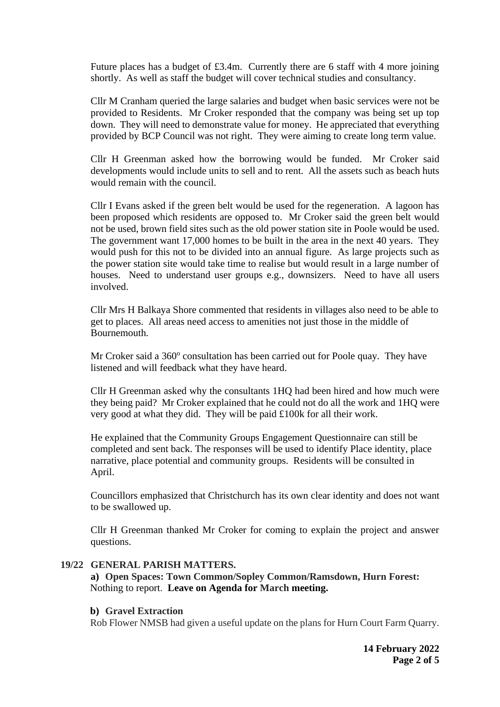Future places has a budget of £3.4m. Currently there are 6 staff with 4 more joining shortly. As well as staff the budget will cover technical studies and consultancy.

Cllr M Cranham queried the large salaries and budget when basic services were not be provided to Residents. Mr Croker responded that the company was being set up top down. They will need to demonstrate value for money. He appreciated that everything provided by BCP Council was not right. They were aiming to create long term value.

Cllr H Greenman asked how the borrowing would be funded. Mr Croker said developments would include units to sell and to rent. All the assets such as beach huts would remain with the council.

Cllr I Evans asked if the green belt would be used for the regeneration. A lagoon has been proposed which residents are opposed to. Mr Croker said the green belt would not be used, brown field sites such as the old power station site in Poole would be used. The government want 17,000 homes to be built in the area in the next 40 years. They would push for this not to be divided into an annual figure. As large projects such as the power station site would take time to realise but would result in a large number of houses. Need to understand user groups e.g., downsizers. Need to have all users involved.

Cllr Mrs H Balkaya Shore commented that residents in villages also need to be able to get to places. All areas need access to amenities not just those in the middle of Bournemouth.

Mr Croker said a 360° consultation has been carried out for Poole quay. They have listened and will feedback what they have heard.

Cllr H Greenman asked why the consultants 1HQ had been hired and how much were they being paid? Mr Croker explained that he could not do all the work and 1HQ were very good at what they did. They will be paid £100k for all their work.

He explained that the Community Groups Engagement Questionnaire can still be completed and sent back. The responses will be used to identify Place identity, place narrative, place potential and community groups. Residents will be consulted in April.

Councillors emphasized that Christchurch has its own clear identity and does not want to be swallowed up.

Cllr H Greenman thanked Mr Croker for coming to explain the project and answer questions.

#### **19/22 GENERAL PARISH MATTERS.**

**a) Open Spaces: Town Common/Sopley Common/Ramsdown, Hurn Forest:** Nothing to report. **Leave on Agenda for March meeting.** 

#### **b) Gravel Extraction**

Rob Flower NMSB had given a useful update on the plans for Hurn Court Farm Quarry.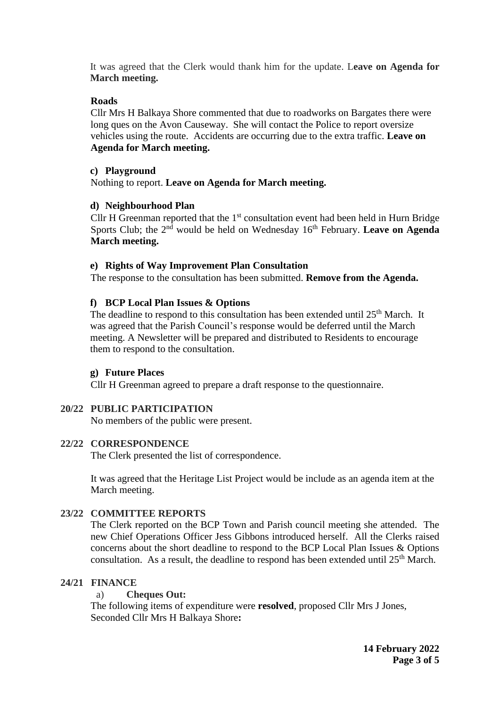It was agreed that the Clerk would thank him for the update. L**eave on Agenda for March meeting.**

## **Roads**

Cllr Mrs H Balkaya Shore commented that due to roadworks on Bargates there were long ques on the Avon Causeway. She will contact the Police to report oversize vehicles using the route. Accidents are occurring due to the extra traffic. **Leave on Agenda for March meeting.** 

## **c) Playground**

Nothing to report. **Leave on Agenda for March meeting.** 

## **d) Neighbourhood Plan**

Cllr H Greenman reported that the  $1<sup>st</sup>$  consultation event had been held in Hurn Bridge Sports Club; the 2<sup>nd</sup> would be held on Wednesday 16<sup>th</sup> February. Leave on Agenda **March meeting.** 

## **e) Rights of Way Improvement Plan Consultation**

The response to the consultation has been submitted. **Remove from the Agenda.** 

## **f) BCP Local Plan Issues & Options**

The deadline to respond to this consultation has been extended until 25<sup>th</sup> March. It was agreed that the Parish Council's response would be deferred until the March meeting. A Newsletter will be prepared and distributed to Residents to encourage them to respond to the consultation.

## **g) Future Places**

Cllr H Greenman agreed to prepare a draft response to the questionnaire.

# **20/22 PUBLIC PARTICIPATION**

No members of the public were present.

# **22/22 CORRESPONDENCE**

The Clerk presented the list of correspondence.

It was agreed that the Heritage List Project would be include as an agenda item at the March meeting.

# **23/22 COMMITTEE REPORTS**

The Clerk reported on the BCP Town and Parish council meeting she attended. The new Chief Operations Officer Jess Gibbons introduced herself. All the Clerks raised concerns about the short deadline to respond to the BCP Local Plan Issues & Options consultation. As a result, the deadline to respond has been extended until  $25<sup>th</sup>$  March.

# **24/21 FINANCE**

## a) **Cheques Out:**

The following items of expenditure were **resolved**, proposed Cllr Mrs J Jones, Seconded Cllr Mrs H Balkaya Shore**:**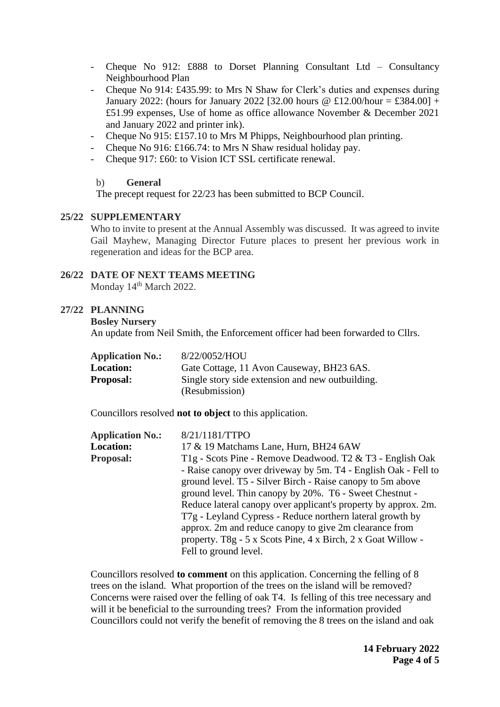- Cheque No 912: £888 to Dorset Planning Consultant Ltd – Consultancy Neighbourhood Plan

- Cheque No 914: £435.99: to Mrs N Shaw for Clerk's duties and expenses during January 2022: (hours for January 2022 [32.00 hours  $\omega$  £12.00/hour = £384.00] + £51.99 expenses, Use of home as office allowance November & December 2021 and January 2022 and printer ink).
- Cheque No 915: £157.10 to Mrs M Phipps, Neighbourhood plan printing.
- Cheque No 916: £166.74: to Mrs N Shaw residual holiday pay.
- Cheque 917: £60: to Vision ICT SSL certificate renewal.

### b) **General**

The precept request for 22/23 has been submitted to BCP Council.

### **25/22 SUPPLEMENTARY**

Who to invite to present at the Annual Assembly was discussed. It was agreed to invite Gail Mayhew, Managing Director Future places to present her previous work in regeneration and ideas for the BCP area.

# **26/22 DATE OF NEXT TEAMS MEETING**

Monday 14<sup>th</sup> March 2022.

## **27/22 PLANNING**

#### **Bosley Nursery**

An update from Neil Smith, the Enforcement officer had been forwarded to Cllrs.

| <b>Application No.:</b> | 8/22/0052/HOU                                    |
|-------------------------|--------------------------------------------------|
| <b>Location:</b>        | Gate Cottage, 11 Avon Causeway, BH23 6AS.        |
| <b>Proposal:</b>        | Single story side extension and new outbuilding. |
|                         | (Resubmission)                                   |

Councillors resolved **not to object** to this application.

| <b>Application No.:</b> | 8/21/1181/TTPO                                                 |
|-------------------------|----------------------------------------------------------------|
| <b>Location:</b>        | 17 & 19 Matchams Lane, Hurn, BH24 6AW                          |
| <b>Proposal:</b>        | T1g - Scots Pine - Remove Deadwood. T2 & T3 - English Oak      |
|                         | - Raise canopy over driveway by 5m. T4 - English Oak - Fell to |
|                         | ground level. T5 - Silver Birch - Raise canopy to 5m above     |
|                         | ground level. Thin canopy by 20%. T6 - Sweet Chestnut -        |
|                         | Reduce lateral canopy over applicant's property by approx. 2m. |
|                         | T7g - Leyland Cypress - Reduce northern lateral growth by      |
|                         | approx. 2m and reduce canopy to give 2m clearance from         |
|                         | property. T8g - 5 x Scots Pine, 4 x Birch, 2 x Goat Willow -   |
|                         | Fell to ground level.                                          |

Councillors resolved **to comment** on this application. Concerning the felling of 8 trees on the island. What proportion of the trees on the island will be removed? Concerns were raised over the felling of oak T4. Is felling of this tree necessary and will it be beneficial to the surrounding trees? From the information provided Councillors could not verify the benefit of removing the 8 trees on the island and oak